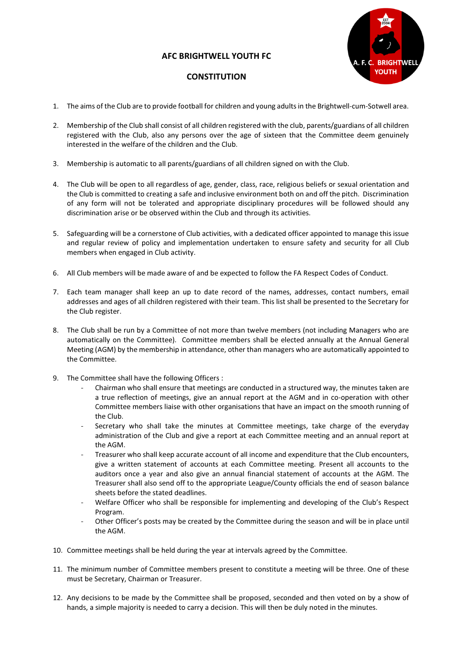## AFC BRIGHTWELL YOUTH FC



## **CONSTITUTION**

- 1. The aims of the Club are to provide football for children and young adults in the Brightwell-cum-Sotwell area.
- 2. Membership of the Club shall consist of all children registered with the club, parents/guardians of all children registered with the Club, also any persons over the age of sixteen that the Committee deem genuinely interested in the welfare of the children and the Club.
- 3. Membership is automatic to all parents/guardians of all children signed on with the Club.
- 4. The Club will be open to all regardless of age, gender, class, race, religious beliefs or sexual orientation and the Club is committed to creating a safe and inclusive environment both on and off the pitch. Discrimination of any form will not be tolerated and appropriate disciplinary procedures will be followed should any discrimination arise or be observed within the Club and through its activities.
- 5. Safeguarding will be a cornerstone of Club activities, with a dedicated officer appointed to manage this issue and regular review of policy and implementation undertaken to ensure safety and security for all Club members when engaged in Club activity.
- 6. All Club members will be made aware of and be expected to follow the FA Respect Codes of Conduct.
- 7. Each team manager shall keep an up to date record of the names, addresses, contact numbers, email addresses and ages of all children registered with their team. This list shall be presented to the Secretary for the Club register.
- 8. The Club shall be run by a Committee of not more than twelve members (not including Managers who are automatically on the Committee). Committee members shall be elected annually at the Annual General Meeting (AGM) by the membership in attendance, other than managers who are automatically appointed to the Committee.
- 9. The Committee shall have the following Officers :
	- Chairman who shall ensure that meetings are conducted in a structured way, the minutes taken are a true reflection of meetings, give an annual report at the AGM and in co-operation with other Committee members liaise with other organisations that have an impact on the smooth running of the Club.
	- Secretary who shall take the minutes at Committee meetings, take charge of the everyday administration of the Club and give a report at each Committee meeting and an annual report at the AGM.
	- Treasurer who shall keep accurate account of all income and expenditure that the Club encounters, give a written statement of accounts at each Committee meeting. Present all accounts to the auditors once a year and also give an annual financial statement of accounts at the AGM. The Treasurer shall also send off to the appropriate League/County officials the end of season balance sheets before the stated deadlines.
	- Welfare Officer who shall be responsible for implementing and developing of the Club's Respect Program.
	- Other Officer's posts may be created by the Committee during the season and will be in place until the AGM.
- 10. Committee meetings shall be held during the year at intervals agreed by the Committee.
- 11. The minimum number of Committee members present to constitute a meeting will be three. One of these must be Secretary, Chairman or Treasurer.
- 12. Any decisions to be made by the Committee shall be proposed, seconded and then voted on by a show of hands, a simple majority is needed to carry a decision. This will then be duly noted in the minutes.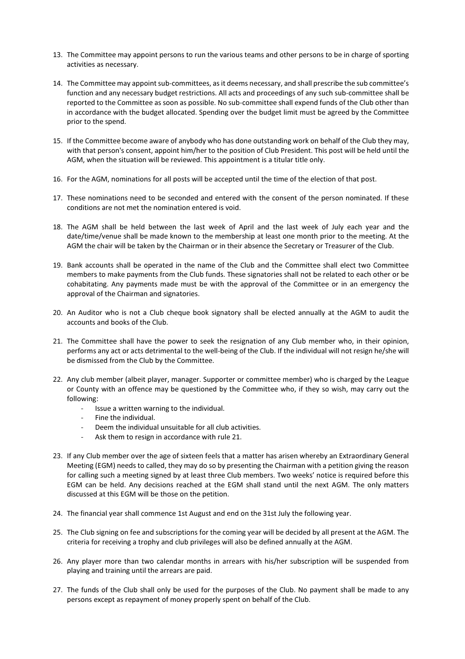- 13. The Committee may appoint persons to run the various teams and other persons to be in charge of sporting activities as necessary.
- 14. The Committee may appoint sub-committees, as it deems necessary, and shall prescribe the sub committee's function and any necessary budget restrictions. All acts and proceedings of any such sub-committee shall be reported to the Committee as soon as possible. No sub-committee shall expend funds of the Club other than in accordance with the budget allocated. Spending over the budget limit must be agreed by the Committee prior to the spend.
- 15. If the Committee become aware of anybody who has done outstanding work on behalf of the Club they may, with that person's consent, appoint him/her to the position of Club President. This post will be held until the AGM, when the situation will be reviewed. This appointment is a titular title only.
- 16. For the AGM, nominations for all posts will be accepted until the time of the election of that post.
- 17. These nominations need to be seconded and entered with the consent of the person nominated. If these conditions are not met the nomination entered is void.
- 18. The AGM shall be held between the last week of April and the last week of July each year and the date/time/venue shall be made known to the membership at least one month prior to the meeting. At the AGM the chair will be taken by the Chairman or in their absence the Secretary or Treasurer of the Club.
- 19. Bank accounts shall be operated in the name of the Club and the Committee shall elect two Committee members to make payments from the Club funds. These signatories shall not be related to each other or be cohabitating. Any payments made must be with the approval of the Committee or in an emergency the approval of the Chairman and signatories.
- 20. An Auditor who is not a Club cheque book signatory shall be elected annually at the AGM to audit the accounts and books of the Club.
- 21. The Committee shall have the power to seek the resignation of any Club member who, in their opinion, performs any act or acts detrimental to the well-being of the Club. If the individual will not resign he/she will be dismissed from the Club by the Committee.
- 22. Any club member (albeit player, manager. Supporter or committee member) who is charged by the League or County with an offence may be questioned by the Committee who, if they so wish, may carry out the following:
	- Issue a written warning to the individual.
	- Fine the individual.
	- Deem the individual unsuitable for all club activities.
	- Ask them to resign in accordance with rule 21.
- 23. If any Club member over the age of sixteen feels that a matter has arisen whereby an Extraordinary General Meeting (EGM) needs to called, they may do so by presenting the Chairman with a petition giving the reason for calling such a meeting signed by at least three Club members. Two weeks' notice is required before this EGM can be held. Any decisions reached at the EGM shall stand until the next AGM. The only matters discussed at this EGM will be those on the petition.
- 24. The financial year shall commence 1st August and end on the 31st July the following year.
- 25. The Club signing on fee and subscriptions for the coming year will be decided by all present at the AGM. The criteria for receiving a trophy and club privileges will also be defined annually at the AGM.
- 26. Any player more than two calendar months in arrears with his/her subscription will be suspended from playing and training until the arrears are paid.
- 27. The funds of the Club shall only be used for the purposes of the Club. No payment shall be made to any persons except as repayment of money properly spent on behalf of the Club.